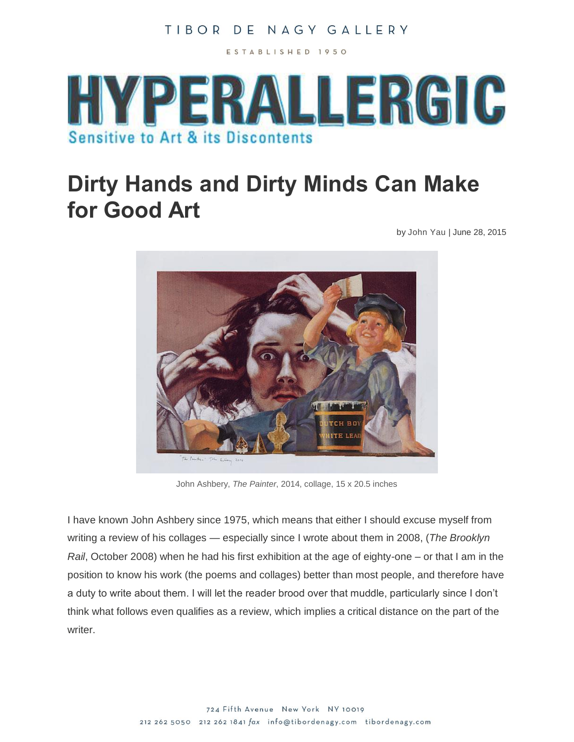ESTABLISHED 1950



# **Dirty Hands and Dirty Minds Can Make for Good Art**

by [John Yau](http://hyperallergic.com/author/john-yau/) | June 28, 2015



John Ashbery, *The Painter*, 2014, collage, 15 x 20.5 inches

I have known John Ashbery since 1975, which means that either I should excuse myself from writing a review of his collages — especially since I wrote about them in 2008, (*The Brooklyn Rail*, October 2008) when he had his first exhibition at the age of eighty-one – or that I am in the position to know his work (the poems and collages) better than most people, and therefore have a duty to write about them. I will let the reader brood over that muddle, particularly since I don't think what follows even qualifies as a review, which implies a critical distance on the part of the writer.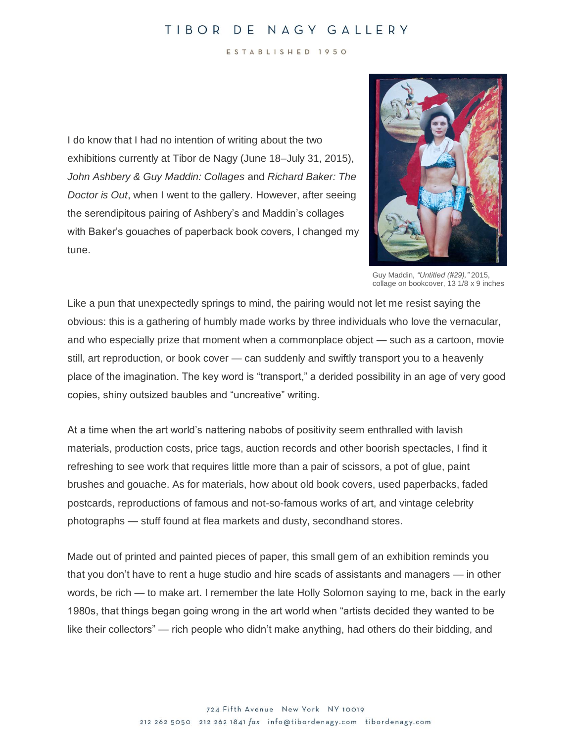ESTABLISHED 1950

I do know that I had no intention of writing about the two exhibitions currently at Tibor de Nagy (June 18–July 31, 2015), *John Ashbery & Guy Maddin: Collages* and *Richard Baker: The Doctor is Out*, when I went to the gallery. However, after seeing the serendipitous pairing of Ashbery's and Maddin's collages with Baker's gouaches of paperback book covers, I changed my tune.



Guy Maddin*, "Untitled (#29),"* 2015, collage on bookcover, 13 1/8 x 9 inches

Like a pun that unexpectedly springs to mind, the pairing would not let me resist saying the obvious: this is a gathering of humbly made works by three individuals who love the vernacular, and who especially prize that moment when a commonplace object — such as a cartoon, movie still, art reproduction, or book cover — can suddenly and swiftly transport you to a heavenly place of the imagination. The key word is "transport," a derided possibility in an age of very good copies, shiny outsized baubles and "uncreative" writing.

At a time when the art world's nattering nabobs of positivity seem enthralled with lavish materials, production costs, price tags, auction records and other boorish spectacles, I find it refreshing to see work that requires little more than a pair of scissors, a pot of glue, paint brushes and gouache. As for materials, how about old book covers, used paperbacks, faded postcards, reproductions of famous and not-so-famous works of art, and vintage celebrity photographs — stuff found at flea markets and dusty, secondhand stores.

Made out of printed and painted pieces of paper, this small gem of an exhibition reminds you that you don't have to rent a huge studio and hire scads of assistants and managers — in other words, be rich — to make art. I remember the late Holly Solomon saying to me, back in the early 1980s, that things began going wrong in the art world when "artists decided they wanted to be like their collectors" — rich people who didn't make anything, had others do their bidding, and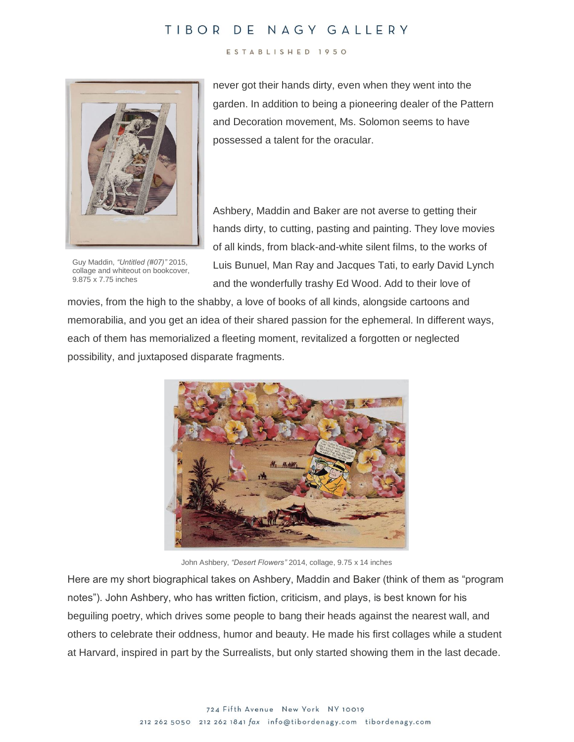#### ESTABLISHED 1950



Guy Maddin, *"Untitled (#07)"* 2015, collage and whiteout on bookcover, 9.875 x 7.75 inches

never got their hands dirty, even when they went into the garden. In addition to being a pioneering dealer of the Pattern and Decoration movement, Ms. Solomon seems to have possessed a talent for the oracular.

Ashbery, Maddin and Baker are not averse to getting their hands dirty, to cutting, pasting and painting. They love movies of all kinds, from black-and-white silent films, to the works of Luis Bunuel, Man Ray and Jacques Tati, to early David Lynch and the wonderfully trashy Ed Wood. Add to their love of

movies, from the high to the shabby, a love of books of all kinds, alongside cartoons and memorabilia, and you get an idea of their shared passion for the ephemeral. In different ways, each of them has memorialized a fleeting moment, revitalized a forgotten or neglected possibility, and juxtaposed disparate fragments.



John Ashbery, *"Desert Flowers"* 2014, collage, 9.75 x 14 inches

Here are my short biographical takes on Ashbery, Maddin and Baker (think of them as "program notes"). John Ashbery, who has written fiction, criticism, and plays, is best known for his beguiling poetry, which drives some people to bang their heads against the nearest wall, and others to celebrate their oddness, humor and beauty. He made his first collages while a student at Harvard, inspired in part by the Surrealists, but only started showing them in the last decade.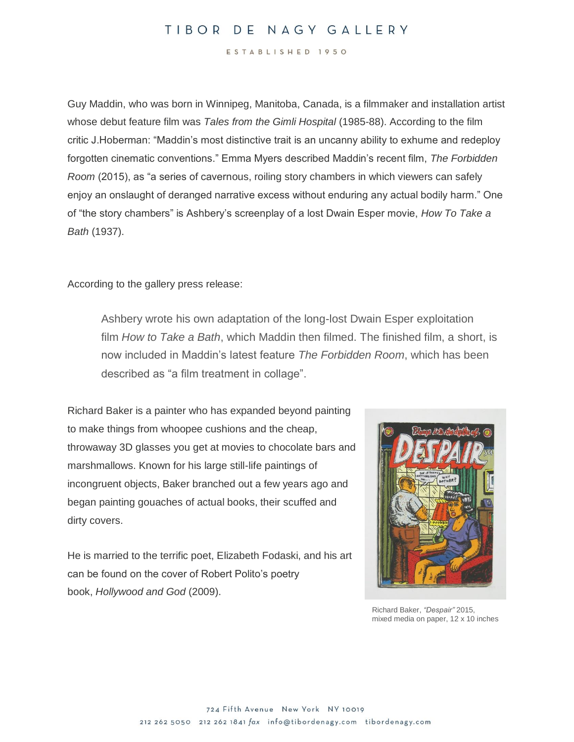ESTABLISHED 1950

Guy Maddin, who was born in Winnipeg, Manitoba, Canada, is a filmmaker and installation artist whose debut feature film was *Tales from the Gimli Hospital* (1985-88). According to the film critic J.Hoberman: "Maddin's most distinctive trait is an uncanny ability to exhume and redeploy forgotten cinematic conventions." Emma Myers described Maddin's recent film, *The Forbidden Room* (2015), as "a series of cavernous, roiling story chambers in which viewers can safely enjoy an onslaught of deranged narrative excess without enduring any actual bodily harm." One of "the story chambers" is Ashbery's screenplay of a lost Dwain Esper movie, *How To Take a Bath* (1937).

According to the gallery press release:

Ashbery wrote his own adaptation of the long-lost Dwain Esper exploitation film *How to Take a Bath*, which Maddin then filmed. The finished film, a short, is now included in Maddin's latest feature *The Forbidden Room*, which has been described as "a film treatment in collage".

Richard Baker is a painter who has expanded beyond painting to make things from whoopee cushions and the cheap, throwaway 3D glasses you get at movies to chocolate bars and marshmallows. Known for his large still-life paintings of incongruent objects, Baker branched out a few years ago and began painting gouaches of actual books, their scuffed and dirty covers.

He is married to the terrific poet, Elizabeth Fodaski, and his art can be found on the cover of Robert Polito's poetry book, *Hollywood and God* (2009).



Richard Baker, *"Despair"* 2015, mixed media on paper, 12 x 10 inches